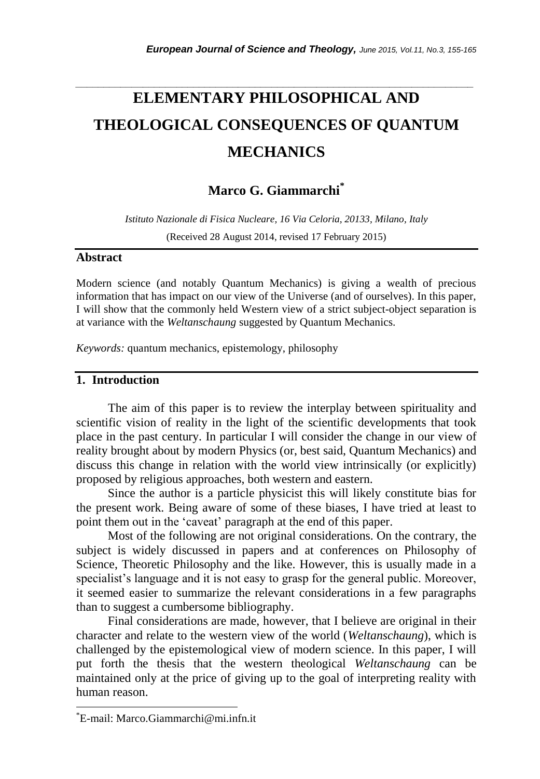# **ELEMENTARY PHILOSOPHICAL AND THEOLOGICAL CONSEQUENCES OF QUANTUM MECHANICS**

*\_\_\_\_\_\_\_\_\_\_\_\_\_\_\_\_\_\_\_\_\_\_\_\_\_\_\_\_\_\_\_\_\_\_\_\_\_\_\_\_\_\_\_\_\_\_\_\_\_\_\_\_\_\_\_\_\_\_\_\_\_\_\_\_\_\_\_\_\_\_\_*

# **Marco G. Giammarchi\***

*Istituto Nazionale di Fisica Nucleare, 16 Via Celoria, 20133, Milano, Italy*

(Received 28 August 2014, revised 17 February 2015)

#### **Abstract**

Modern science (and notably Quantum Mechanics) is giving a wealth of precious information that has impact on our view of the Universe (and of ourselves). In this paper, I will show that the commonly held Western view of a strict subject-object separation is at variance with the *Weltanschaung* suggested by Quantum Mechanics.

*Keywords:* quantum mechanics, epistemology, philosophy

## **1. Introduction**

The aim of this paper is to review the interplay between spirituality and scientific vision of reality in the light of the scientific developments that took place in the past century. In particular I will consider the change in our view of reality brought about by modern Physics (or, best said, Quantum Mechanics) and discuss this change in relation with the world view intrinsically (or explicitly) proposed by religious approaches, both western and eastern.

Since the author is a particle physicist this will likely constitute bias for the present work. Being aware of some of these biases, I have tried at least to point them out in the "caveat" paragraph at the end of this paper.

Most of the following are not original considerations. On the contrary, the subject is widely discussed in papers and at conferences on Philosophy of Science, Theoretic Philosophy and the like. However, this is usually made in a specialist's language and it is not easy to grasp for the general public. Moreover, it seemed easier to summarize the relevant considerations in a few paragraphs than to suggest a cumbersome bibliography.

Final considerations are made, however, that I believe are original in their character and relate to the western view of the world (*Weltanschaung*), which is challenged by the epistemological view of modern science. In this paper, I will put forth the thesis that the western theological *Weltanschaung* can be maintained only at the price of giving up to the goal of interpreting reality with human reason.

l

<sup>\*</sup>E-mail: Marco.Giammarchi@mi.infn.it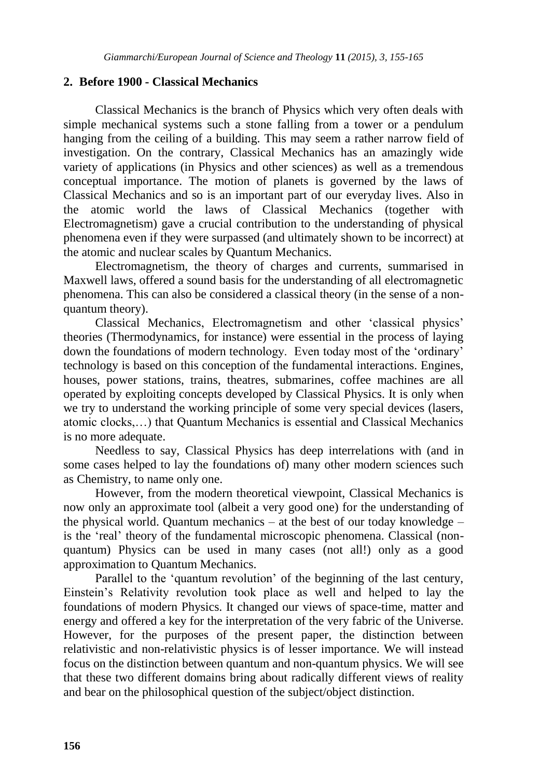## **2. Before 1900 - Classical Mechanics**

Classical Mechanics is the branch of Physics which very often deals with simple mechanical systems such a stone falling from a tower or a pendulum hanging from the ceiling of a building. This may seem a rather narrow field of investigation. On the contrary, Classical Mechanics has an amazingly wide variety of applications (in Physics and other sciences) as well as a tremendous conceptual importance. The motion of planets is governed by the laws of Classical Mechanics and so is an important part of our everyday lives. Also in the atomic world the laws of Classical Mechanics (together with Electromagnetism) gave a crucial contribution to the understanding of physical phenomena even if they were surpassed (and ultimately shown to be incorrect) at the atomic and nuclear scales by Quantum Mechanics.

Electromagnetism, the theory of charges and currents, summarised in Maxwell laws, offered a sound basis for the understanding of all electromagnetic phenomena. This can also be considered a classical theory (in the sense of a nonquantum theory).

Classical Mechanics, Electromagnetism and other "classical physics" theories (Thermodynamics, for instance) were essential in the process of laying down the foundations of modern technology. Even today most of the "ordinary" technology is based on this conception of the fundamental interactions. Engines, houses, power stations, trains, theatres, submarines, coffee machines are all operated by exploiting concepts developed by Classical Physics. It is only when we try to understand the working principle of some very special devices (lasers, atomic clocks,…) that Quantum Mechanics is essential and Classical Mechanics is no more adequate.

Needless to say, Classical Physics has deep interrelations with (and in some cases helped to lay the foundations of) many other modern sciences such as Chemistry, to name only one.

However, from the modern theoretical viewpoint, Classical Mechanics is now only an approximate tool (albeit a very good one) for the understanding of the physical world. Quantum mechanics – at the best of our today knowledge – is the "real" theory of the fundamental microscopic phenomena. Classical (nonquantum) Physics can be used in many cases (not all!) only as a good approximation to Quantum Mechanics.

Parallel to the "quantum revolution" of the beginning of the last century, Einstein"s Relativity revolution took place as well and helped to lay the foundations of modern Physics. It changed our views of space-time, matter and energy and offered a key for the interpretation of the very fabric of the Universe. However, for the purposes of the present paper, the distinction between relativistic and non-relativistic physics is of lesser importance. We will instead focus on the distinction between quantum and non-quantum physics. We will see that these two different domains bring about radically different views of reality and bear on the philosophical question of the subject/object distinction.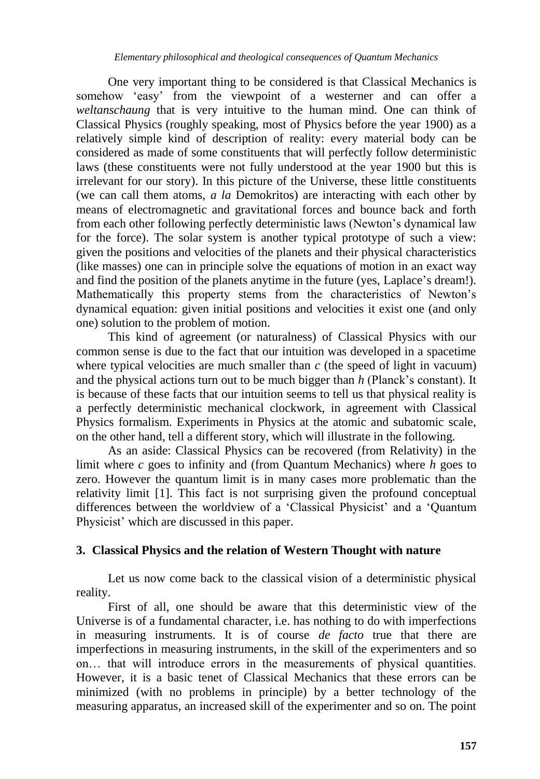One very important thing to be considered is that Classical Mechanics is somehow 'easy' from the viewpoint of a westerner and can offer a *weltanschaung* that is very intuitive to the human mind. One can think of Classical Physics (roughly speaking, most of Physics before the year 1900) as a relatively simple kind of description of reality: every material body can be considered as made of some constituents that will perfectly follow deterministic laws (these constituents were not fully understood at the year 1900 but this is irrelevant for our story). In this picture of the Universe, these little constituents (we can call them atoms, *a la* Demokritos) are interacting with each other by means of electromagnetic and gravitational forces and bounce back and forth from each other following perfectly deterministic laws (Newton's dynamical law for the force). The solar system is another typical prototype of such a view: given the positions and velocities of the planets and their physical characteristics (like masses) one can in principle solve the equations of motion in an exact way and find the position of the planets anytime in the future (yes, Laplace"s dream!). Mathematically this property stems from the characteristics of Newton"s dynamical equation: given initial positions and velocities it exist one (and only one) solution to the problem of motion.

This kind of agreement (or naturalness) of Classical Physics with our common sense is due to the fact that our intuition was developed in a spacetime where typical velocities are much smaller than  $c$  (the speed of light in vacuum) and the physical actions turn out to be much bigger than *h* (Planck's constant). It is because of these facts that our intuition seems to tell us that physical reality is a perfectly deterministic mechanical clockwork, in agreement with Classical Physics formalism. Experiments in Physics at the atomic and subatomic scale, on the other hand, tell a different story, which will illustrate in the following.

As an aside: Classical Physics can be recovered (from Relativity) in the limit where *c* goes to infinity and (from Quantum Mechanics) where *h* goes to zero. However the quantum limit is in many cases more problematic than the relativity limit [1]. This fact is not surprising given the profound conceptual differences between the worldview of a 'Classical Physicist' and a 'Quantum Physicist' which are discussed in this paper.

## **3. Classical Physics and the relation of Western Thought with nature**

Let us now come back to the classical vision of a deterministic physical reality.

First of all, one should be aware that this deterministic view of the Universe is of a fundamental character, i.e. has nothing to do with imperfections in measuring instruments. It is of course *de facto* true that there are imperfections in measuring instruments, in the skill of the experimenters and so on… that will introduce errors in the measurements of physical quantities. However, it is a basic tenet of Classical Mechanics that these errors can be minimized (with no problems in principle) by a better technology of the measuring apparatus, an increased skill of the experimenter and so on. The point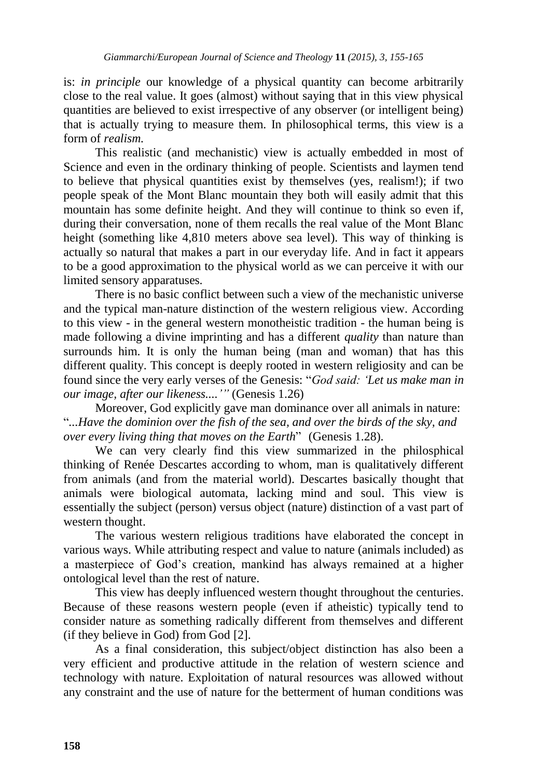is: *in principle* our knowledge of a physical quantity can become arbitrarily close to the real value. It goes (almost) without saying that in this view physical quantities are believed to exist irrespective of any observer (or intelligent being) that is actually trying to measure them. In philosophical terms, this view is a form of *realism.*

This realistic (and mechanistic) view is actually embedded in most of Science and even in the ordinary thinking of people. Scientists and laymen tend to believe that physical quantities exist by themselves (yes, realism!); if two people speak of the Mont Blanc mountain they both will easily admit that this mountain has some definite height. And they will continue to think so even if, during their conversation, none of them recalls the real value of the Mont Blanc height (something like 4,810 meters above sea level). This way of thinking is actually so natural that makes a part in our everyday life. And in fact it appears to be a good approximation to the physical world as we can perceive it with our limited sensory apparatuses.

There is no basic conflict between such a view of the mechanistic universe and the typical man-nature distinction of the western religious view. According to this view - in the general western monotheistic tradition - the human being is made following a divine imprinting and has a different *quality* than nature than surrounds him. It is only the human being (man and woman) that has this different quality. This concept is deeply rooted in western religiosity and can be found since the very early verses of the Genesis: "*God said: 'Let us make man in our image, after our likeness....'"* (Genesis 1.26)

Moreover, God explicitly gave man dominance over all animals in nature: "*...Have the dominion over the fish of the sea, and over the birds of the sky, and over every living thing that moves on the Earth*" (Genesis 1.28).

We can very clearly find this view summarized in the philosphical thinking of Renée Descartes according to whom, man is qualitatively different from animals (and from the material world). Descartes basically thought that animals were biological automata, lacking mind and soul. This view is essentially the subject (person) versus object (nature) distinction of a vast part of western thought.

The various western religious traditions have elaborated the concept in various ways. While attributing respect and value to nature (animals included) as a masterpiece of God"s creation, mankind has always remained at a higher ontological level than the rest of nature.

This view has deeply influenced western thought throughout the centuries. Because of these reasons western people (even if atheistic) typically tend to consider nature as something radically different from themselves and different (if they believe in God) from God [2].

As a final consideration, this subject/object distinction has also been a very efficient and productive attitude in the relation of western science and technology with nature. Exploitation of natural resources was allowed without any constraint and the use of nature for the betterment of human conditions was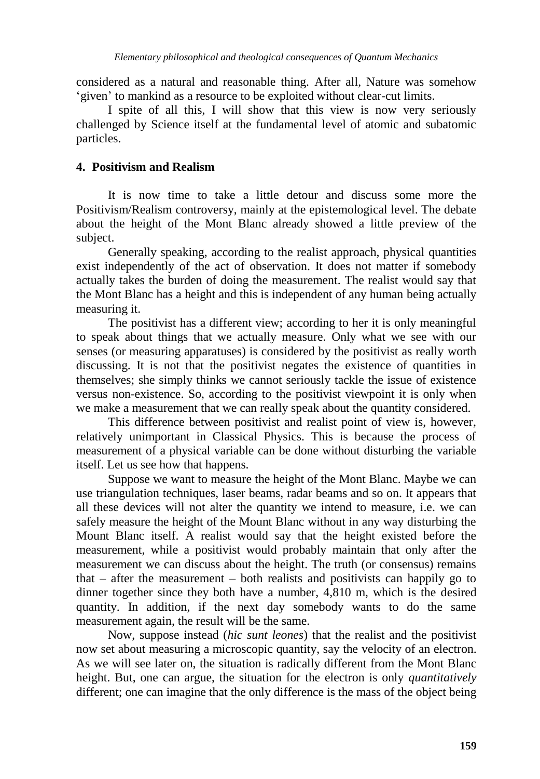considered as a natural and reasonable thing. After all, Nature was somehow 'given' to mankind as a resource to be exploited without clear-cut limits.

I spite of all this, I will show that this view is now very seriously challenged by Science itself at the fundamental level of atomic and subatomic particles.

## **4. Positivism and Realism**

It is now time to take a little detour and discuss some more the Positivism/Realism controversy, mainly at the epistemological level. The debate about the height of the Mont Blanc already showed a little preview of the subject.

Generally speaking, according to the realist approach, physical quantities exist independently of the act of observation. It does not matter if somebody actually takes the burden of doing the measurement. The realist would say that the Mont Blanc has a height and this is independent of any human being actually measuring it.

The positivist has a different view; according to her it is only meaningful to speak about things that we actually measure. Only what we see with our senses (or measuring apparatuses) is considered by the positivist as really worth discussing. It is not that the positivist negates the existence of quantities in themselves; she simply thinks we cannot seriously tackle the issue of existence versus non-existence. So, according to the positivist viewpoint it is only when we make a measurement that we can really speak about the quantity considered.

This difference between positivist and realist point of view is, however, relatively unimportant in Classical Physics. This is because the process of measurement of a physical variable can be done without disturbing the variable itself. Let us see how that happens.

Suppose we want to measure the height of the Mont Blanc. Maybe we can use triangulation techniques, laser beams, radar beams and so on. It appears that all these devices will not alter the quantity we intend to measure, i.e. we can safely measure the height of the Mount Blanc without in any way disturbing the Mount Blanc itself. A realist would say that the height existed before the measurement, while a positivist would probably maintain that only after the measurement we can discuss about the height. The truth (or consensus) remains that – after the measurement – both realists and positivists can happily go to dinner together since they both have a number, 4,810 m, which is the desired quantity. In addition, if the next day somebody wants to do the same measurement again, the result will be the same.

Now, suppose instead (*hic sunt leones*) that the realist and the positivist now set about measuring a microscopic quantity, say the velocity of an electron. As we will see later on, the situation is radically different from the Mont Blanc height. But, one can argue, the situation for the electron is only *quantitatively*  different; one can imagine that the only difference is the mass of the object being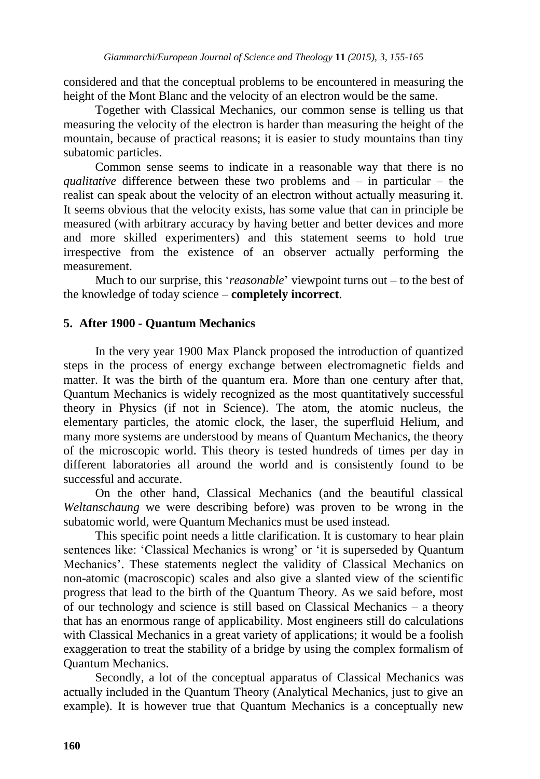considered and that the conceptual problems to be encountered in measuring the height of the Mont Blanc and the velocity of an electron would be the same.

Together with Classical Mechanics, our common sense is telling us that measuring the velocity of the electron is harder than measuring the height of the mountain, because of practical reasons; it is easier to study mountains than tiny subatomic particles.

Common sense seems to indicate in a reasonable way that there is no *qualitative* difference between these two problems and – in particular – the realist can speak about the velocity of an electron without actually measuring it. It seems obvious that the velocity exists, has some value that can in principle be measured (with arbitrary accuracy by having better and better devices and more and more skilled experimenters) and this statement seems to hold true irrespective from the existence of an observer actually performing the measurement.

Much to our surprise, this "*reasonable*" viewpoint turns out – to the best of the knowledge of today science – **completely incorrect**.

### **5. After 1900 - Quantum Mechanics**

In the very year 1900 Max Planck proposed the introduction of quantized steps in the process of energy exchange between electromagnetic fields and matter. It was the birth of the quantum era. More than one century after that, Quantum Mechanics is widely recognized as the most quantitatively successful theory in Physics (if not in Science). The atom, the atomic nucleus, the elementary particles, the atomic clock, the laser, the superfluid Helium, and many more systems are understood by means of Quantum Mechanics, the theory of the microscopic world. This theory is tested hundreds of times per day in different laboratories all around the world and is consistently found to be successful and accurate.

On the other hand, Classical Mechanics (and the beautiful classical *Weltanschaung* we were describing before) was proven to be wrong in the subatomic world, were Quantum Mechanics must be used instead.

This specific point needs a little clarification. It is customary to hear plain sentences like: 'Classical Mechanics is wrong' or 'it is superseded by Quantum Mechanics'. These statements neglect the validity of Classical Mechanics on non-atomic (macroscopic) scales and also give a slanted view of the scientific progress that lead to the birth of the Quantum Theory. As we said before, most of our technology and science is still based on Classical Mechanics – a theory that has an enormous range of applicability. Most engineers still do calculations with Classical Mechanics in a great variety of applications; it would be a foolish exaggeration to treat the stability of a bridge by using the complex formalism of Quantum Mechanics.

Secondly, a lot of the conceptual apparatus of Classical Mechanics was actually included in the Quantum Theory (Analytical Mechanics, just to give an example). It is however true that Quantum Mechanics is a conceptually new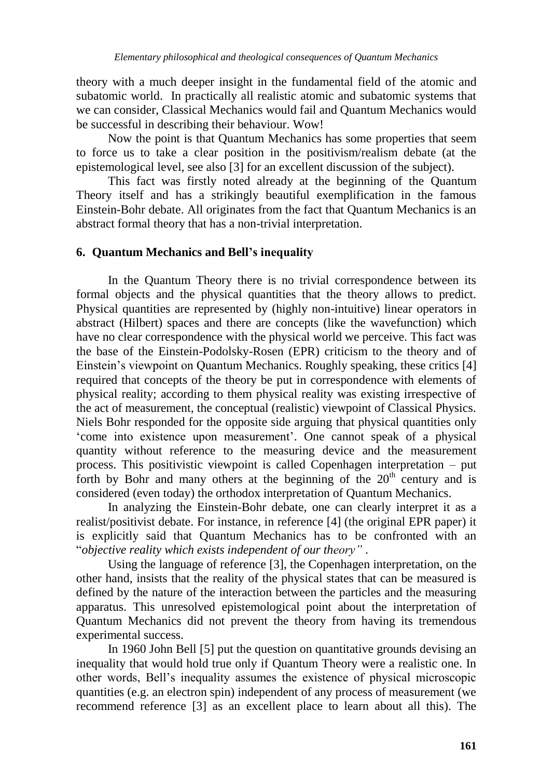theory with a much deeper insight in the fundamental field of the atomic and subatomic world. In practically all realistic atomic and subatomic systems that we can consider, Classical Mechanics would fail and Quantum Mechanics would be successful in describing their behaviour. Wow!

Now the point is that Quantum Mechanics has some properties that seem to force us to take a clear position in the positivism/realism debate (at the epistemological level, see also [3] for an excellent discussion of the subject).

This fact was firstly noted already at the beginning of the Quantum Theory itself and has a strikingly beautiful exemplification in the famous Einstein-Bohr debate. All originates from the fact that Quantum Mechanics is an abstract formal theory that has a non-trivial interpretation.

#### **6. Quantum Mechanics and Bell's inequality**

In the Quantum Theory there is no trivial correspondence between its formal objects and the physical quantities that the theory allows to predict. Physical quantities are represented by (highly non-intuitive) linear operators in abstract (Hilbert) spaces and there are concepts (like the wavefunction) which have no clear correspondence with the physical world we perceive. This fact was the base of the Einstein-Podolsky-Rosen (EPR) criticism to the theory and of Einstein"s viewpoint on Quantum Mechanics. Roughly speaking, these critics [4] required that concepts of the theory be put in correspondence with elements of physical reality; according to them physical reality was existing irrespective of the act of measurement, the conceptual (realistic) viewpoint of Classical Physics. Niels Bohr responded for the opposite side arguing that physical quantities only "come into existence upon measurement". One cannot speak of a physical quantity without reference to the measuring device and the measurement process. This positivistic viewpoint is called Copenhagen interpretation – put forth by Bohr and many others at the beginning of the  $20<sup>th</sup>$  century and is considered (even today) the orthodox interpretation of Quantum Mechanics.

In analyzing the Einstein-Bohr debate, one can clearly interpret it as a realist/positivist debate. For instance, in reference [4] (the original EPR paper) it is explicitly said that Quantum Mechanics has to be confronted with an "*objective reality which exists independent of our theory"* .

Using the language of reference [3], the Copenhagen interpretation, on the other hand, insists that the reality of the physical states that can be measured is defined by the nature of the interaction between the particles and the measuring apparatus. This unresolved epistemological point about the interpretation of Quantum Mechanics did not prevent the theory from having its tremendous experimental success.

In 1960 John Bell [5] put the question on quantitative grounds devising an inequality that would hold true only if Quantum Theory were a realistic one. In other words, Bell"s inequality assumes the existence of physical microscopic quantities (e.g. an electron spin) independent of any process of measurement (we recommend reference [3] as an excellent place to learn about all this). The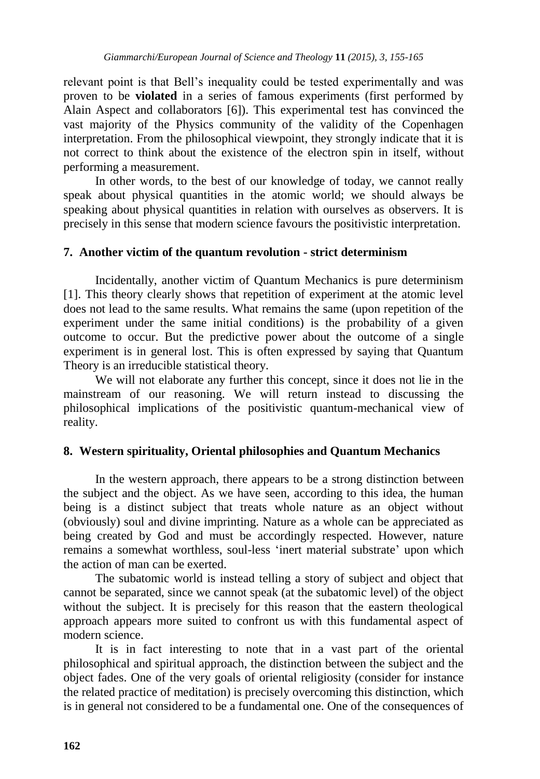relevant point is that Bell"s inequality could be tested experimentally and was proven to be **violated** in a series of famous experiments (first performed by Alain Aspect and collaborators [6]). This experimental test has convinced the vast majority of the Physics community of the validity of the Copenhagen interpretation. From the philosophical viewpoint, they strongly indicate that it is not correct to think about the existence of the electron spin in itself, without performing a measurement.

In other words, to the best of our knowledge of today, we cannot really speak about physical quantities in the atomic world; we should always be speaking about physical quantities in relation with ourselves as observers. It is precisely in this sense that modern science favours the positivistic interpretation.

## **7. Another victim of the quantum revolution - strict determinism**

Incidentally, another victim of Quantum Mechanics is pure determinism [1]. This theory clearly shows that repetition of experiment at the atomic level does not lead to the same results. What remains the same (upon repetition of the experiment under the same initial conditions) is the probability of a given outcome to occur. But the predictive power about the outcome of a single experiment is in general lost. This is often expressed by saying that Quantum Theory is an irreducible statistical theory.

We will not elaborate any further this concept, since it does not lie in the mainstream of our reasoning. We will return instead to discussing the philosophical implications of the positivistic quantum-mechanical view of reality.

## **8. Western spirituality, Oriental philosophies and Quantum Mechanics**

In the western approach, there appears to be a strong distinction between the subject and the object. As we have seen, according to this idea, the human being is a distinct subject that treats whole nature as an object without (obviously) soul and divine imprinting. Nature as a whole can be appreciated as being created by God and must be accordingly respected. However, nature remains a somewhat worthless, soul-less 'inert material substrate' upon which the action of man can be exerted.

The subatomic world is instead telling a story of subject and object that cannot be separated, since we cannot speak (at the subatomic level) of the object without the subject. It is precisely for this reason that the eastern theological approach appears more suited to confront us with this fundamental aspect of modern science.

It is in fact interesting to note that in a vast part of the oriental philosophical and spiritual approach, the distinction between the subject and the object fades. One of the very goals of oriental religiosity (consider for instance the related practice of meditation) is precisely overcoming this distinction, which is in general not considered to be a fundamental one. One of the consequences of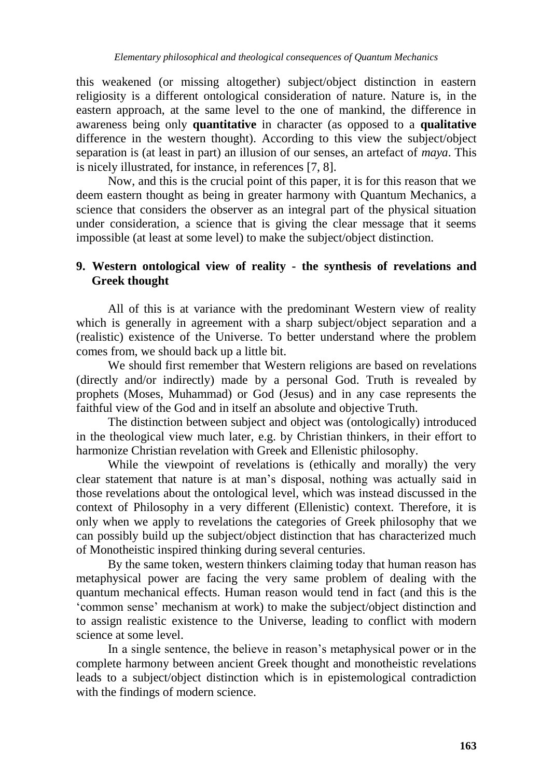this weakened (or missing altogether) subject/object distinction in eastern religiosity is a different ontological consideration of nature. Nature is, in the eastern approach, at the same level to the one of mankind, the difference in awareness being only **quantitative** in character (as opposed to a **qualitative** difference in the western thought). According to this view the subject/object separation is (at least in part) an illusion of our senses, an artefact of *maya*. This is nicely illustrated, for instance, in references [7, 8].

Now, and this is the crucial point of this paper, it is for this reason that we deem eastern thought as being in greater harmony with Quantum Mechanics, a science that considers the observer as an integral part of the physical situation under consideration, a science that is giving the clear message that it seems impossible (at least at some level) to make the subject/object distinction.

## **9. Western ontological view of reality - the synthesis of revelations and Greek thought**

All of this is at variance with the predominant Western view of reality which is generally in agreement with a sharp subject/object separation and a (realistic) existence of the Universe. To better understand where the problem comes from, we should back up a little bit.

We should first remember that Western religions are based on revelations (directly and/or indirectly) made by a personal God. Truth is revealed by prophets (Moses, Muhammad) or God (Jesus) and in any case represents the faithful view of the God and in itself an absolute and objective Truth.

The distinction between subject and object was (ontologically) introduced in the theological view much later, e.g. by Christian thinkers, in their effort to harmonize Christian revelation with Greek and Ellenistic philosophy.

While the viewpoint of revelations is (ethically and morally) the very clear statement that nature is at man"s disposal, nothing was actually said in those revelations about the ontological level, which was instead discussed in the context of Philosophy in a very different (Ellenistic) context. Therefore, it is only when we apply to revelations the categories of Greek philosophy that we can possibly build up the subject/object distinction that has characterized much of Monotheistic inspired thinking during several centuries.

By the same token, western thinkers claiming today that human reason has metaphysical power are facing the very same problem of dealing with the quantum mechanical effects. Human reason would tend in fact (and this is the "common sense" mechanism at work) to make the subject/object distinction and to assign realistic existence to the Universe, leading to conflict with modern science at some level.

In a single sentence, the believe in reason"s metaphysical power or in the complete harmony between ancient Greek thought and monotheistic revelations leads to a subject/object distinction which is in epistemological contradiction with the findings of modern science.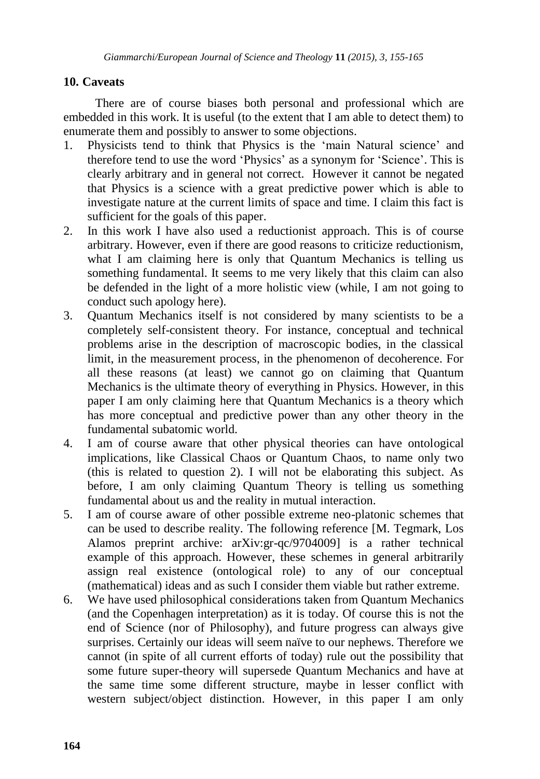## **10. Caveats**

There are of course biases both personal and professional which are embedded in this work. It is useful (to the extent that I am able to detect them) to enumerate them and possibly to answer to some objections.

- 1. Physicists tend to think that Physics is the 'main Natural science' and therefore tend to use the word "Physics" as a synonym for "Science". This is clearly arbitrary and in general not correct. However it cannot be negated that Physics is a science with a great predictive power which is able to investigate nature at the current limits of space and time. I claim this fact is sufficient for the goals of this paper.
- 2. In this work I have also used a reductionist approach. This is of course arbitrary. However, even if there are good reasons to criticize reductionism, what I am claiming here is only that Quantum Mechanics is telling us something fundamental. It seems to me very likely that this claim can also be defended in the light of a more holistic view (while, I am not going to conduct such apology here).
- 3. Quantum Mechanics itself is not considered by many scientists to be a completely self-consistent theory. For instance, conceptual and technical problems arise in the description of macroscopic bodies, in the classical limit, in the measurement process, in the phenomenon of decoherence. For all these reasons (at least) we cannot go on claiming that Quantum Mechanics is the ultimate theory of everything in Physics. However, in this paper I am only claiming here that Quantum Mechanics is a theory which has more conceptual and predictive power than any other theory in the fundamental subatomic world.
- 4. I am of course aware that other physical theories can have ontological implications, like Classical Chaos or Quantum Chaos, to name only two (this is related to question 2). I will not be elaborating this subject. As before, I am only claiming Quantum Theory is telling us something fundamental about us and the reality in mutual interaction.
- 5. I am of course aware of other possible extreme neo-platonic schemes that can be used to describe reality. The following reference [M. Tegmark, Los Alamos preprint archive: arXiv:gr-qc/9704009] is a rather technical example of this approach. However, these schemes in general arbitrarily assign real existence (ontological role) to any of our conceptual (mathematical) ideas and as such I consider them viable but rather extreme.
- 6. We have used philosophical considerations taken from Quantum Mechanics (and the Copenhagen interpretation) as it is today. Of course this is not the end of Science (nor of Philosophy), and future progress can always give surprises. Certainly our ideas will seem naïve to our nephews. Therefore we cannot (in spite of all current efforts of today) rule out the possibility that some future super-theory will supersede Quantum Mechanics and have at the same time some different structure, maybe in lesser conflict with western subject/object distinction. However, in this paper I am only